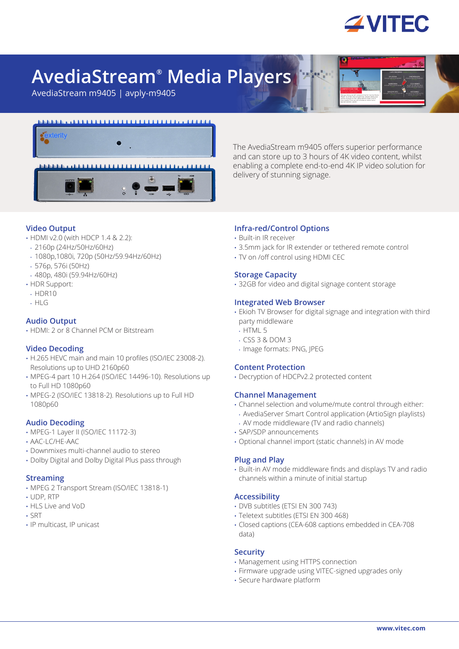

# **AvediaStream® Media Players**

AvediaStream m9405 | avply-m9405



The AvediaStream m9405 offers superior performance and can store up to 3 hours of 4K video content, whilst enabling a complete end-to-end 4K IP video solution for delivery of stunning signage.

# **Video Output**

- HDMI v2.0 (with HDCP 1.4 & 2.2):
- 2160p (24Hz/50Hz/60Hz)
- 1080p,1080i, 720p (50Hz/59.94Hz/60Hz)
- 576p, 576i (50Hz)
- 480p, 480i (59.94Hz/60Hz)
- HDR Support:
- HDR10
- HLG

## **Audio Output**

• HDMI: 2 or 8 Channel PCM or Bitstream

### **Video Decoding**

- H.265 HEVC main and main 10 profiles (ISO/IEC 23008-2). Resolutions up to UHD 2160p60
- MPEG-4 part 10 H 264 (ISO/IEC 14496-10). Resolutions up to Full HD 1080p60
- MPEG-2 (ISO/IEC 13818-2). Resolutions up to Full HD 1080p60

### **Audio Decoding**

- MPEG-1 Layer II (ISO/IEC 11172-3)
- AAC-LC/HE-AAC
- Downmixes multi-channel audio to stereo
- Dolby Digital and Dolby Digital Plus pass through

### **Streaming**

- MPEG 2 Transport Stream (ISO/IEC 13818-1)
- UDP, RTP
- HLS Live and VoD
- SRT
- IP multicast, IP unicast

## **Infra-red/Control Options**

- Built-in IR receiver
- 3.5mm jack for IR extender or tethered remote control
- TV on /off control using HDMI CEC

## **Storage Capacity**

• 32GB for video and digital signage content storage

## **Integrated Web Browser**

- Ekioh TV Browser for digital signage and integration with third party middleware
- HTML 5
- CSS 3 & DOM 3
- Image formats: PNG, JPEG

### **Content Protection**

• Decryption of HDCPv2.2 protected content

### **Channel Management**

- Channel selection and volume/mute control through either:
- AvediaServer Smart Control application (ArtioSign playlists) • AV mode middleware (TV and radio channels)
- SAP/SDP announcements
- Optional channel import (static channels) in AV mode

### **Plug and Play**

• Built-in AV mode middleware finds and displays TV and radio channels within a minute of initial startup

### **Accessibility**

- DVB subtitles (ETSI EN 300 743)
- Teletext subtitles (ETSI EN 300 468)
- Closed captions (CEA-608 captions embedded in CEA-708 data)

#### **Security**

- Management using HTTPS connection
- Firmware upgrade using VITEC-signed upgrades only
- Secure hardware platform